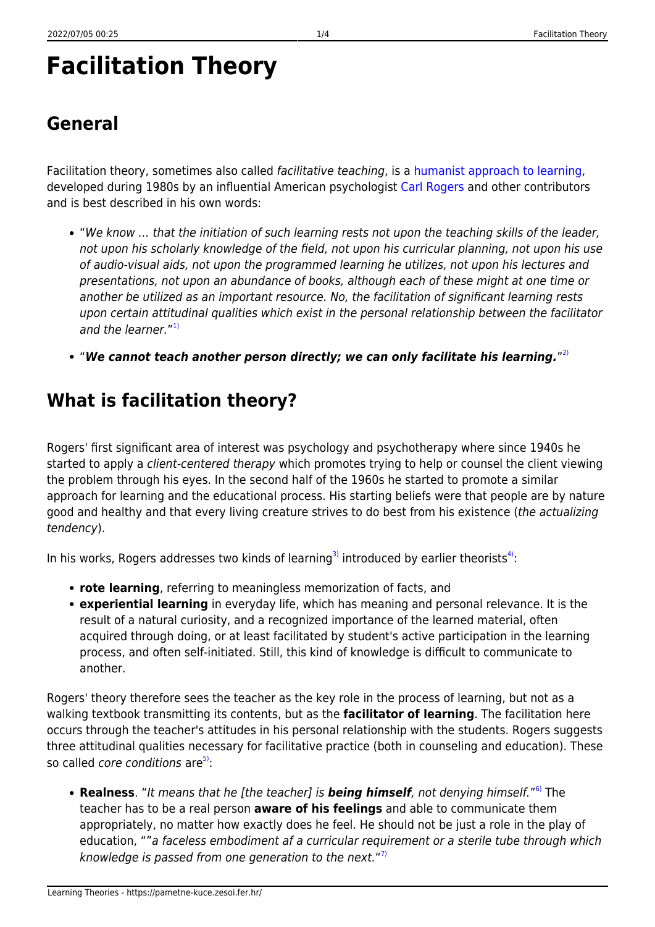# **Facilitation Theory**

**General**

#### Facilitation theory, sometimes also called facilitative teaching, is a [humanist approach to learning](https://pametne-kuce.zesoi.fer.hr/doku.php?id=learning_paradigms:humanism), developed during 1980s by an influential American psychologist [Carl Rogers](http://www.carlrogers.info/index.html) and other contributors and is best described in his own words:

- "We know … that the initiation of such learning rests not upon the teaching skills of the leader, not upon his scholarly knowledge of the field, not upon his curricular planning, not upon his use of audio-visual aids, not upon the programmed learning he utilizes, not upon his lectures and presentations, not upon an abundance of books, although each of these might at one time or another be utilized as an important resource. No, the facilitation of significant learning rests upon certain attitudinal qualities which exist in the personal relationship between the facilitator and the learner."<sup>[1\)](#page--1-0)</sup>
- "*We cannot teach another person directly; we can only facilitate his learning.*" [2\)](#page--1-0)

### **What is facilitation theory?**

Rogers' first significant area of interest was psychology and psychotherapy where since 1940s he started to apply a client-centered therapy which promotes trying to help or counsel the client viewing the problem through his eyes. In the second half of the 1960s he started to promote a similar approach for learning and the educational process. His starting beliefs were that people are by nature good and healthy and that every living creature strives to do best from his existence (the actualizing tendency).

In his works, Rogers addresses two kinds of learning<sup>[3\)](#page--1-0)</sup> introduced by earlier theorists<sup>[4\)](#page--1-0)</sup>:

- **rote learning**, referring to meaningless memorization of facts, and
- **experiential learning** in everyday life, which has meaning and personal relevance. It is the result of a natural curiosity, and a recognized importance of the learned material, often acquired through doing, or at least facilitated by student's active participation in the learning process, and often self-initiated. Still, this kind of knowledge is difficult to communicate to another.

Rogers' theory therefore sees the teacher as the key role in the process of learning, but not as a walking textbook transmitting its contents, but as the **facilitator of learning**. The facilitation here occurs through the teacher's attitudes in his personal relationship with the students. Rogers suggests three attitudinal qualities necessary for facilitative practice (both in counseling and education). These so called *core conditions* are<sup>[5\)](#page--1-0)</sup>:

**Realness**. "It means that he [the teacher] is *being himself*, not denying himself." [6\)](#page--1-0) The teacher has to be a real person **aware of his feelings** and able to communicate them appropriately, no matter how exactly does he feel. He should not be just a role in the play of education, ""a faceless embodiment af a curricular requirement or a sterile tube through which knowledge is passed from one generation to the next."<sup>[7\)](#page--1-0)</sup>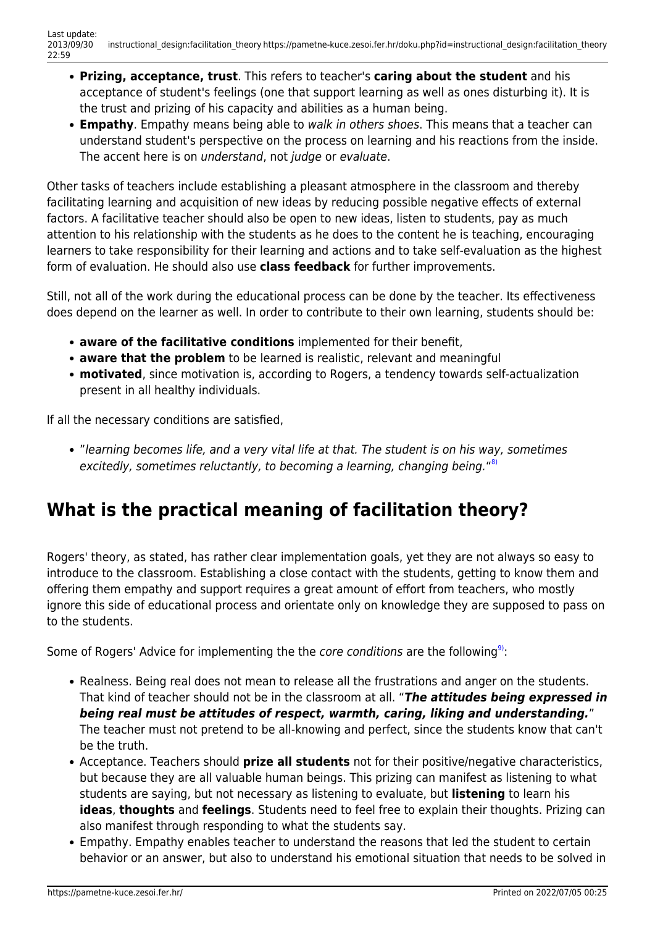- **Prizing, acceptance, trust**. This refers to teacher's **caring about the student** and his acceptance of student's feelings (one that support learning as well as ones disturbing it). It is the trust and prizing of his capacity and abilities as a human being.
- **Empathy**. Empathy means being able to walk in others shoes. This means that a teacher can understand student's perspective on the process on learning and his reactions from the inside. The accent here is on understand, not judge or evaluate.

Other tasks of teachers include establishing a pleasant atmosphere in the classroom and thereby facilitating learning and acquisition of new ideas by reducing possible negative effects of external factors. A facilitative teacher should also be open to new ideas, listen to students, pay as much attention to his relationship with the students as he does to the content he is teaching, encouraging learners to take responsibility for their learning and actions and to take self-evaluation as the highest form of evaluation. He should also use **class feedback** for further improvements.

Still, not all of the work during the educational process can be done by the teacher. Its effectiveness does depend on the learner as well. In order to contribute to their own learning, students should be:

- **aware of the facilitative conditions** implemented for their benefit,
- **aware that the problem** to be learned is realistic, relevant and meaningful
- **motivated**, since motivation is, according to Rogers, a tendency towards self-actualization present in all healthy individuals.

If all the necessary conditions are satisfied,

"learning becomes life, and a very vital life at that. The student is on his way, sometimes excitedly, sometimes reluctantly, to becoming a learning, changing being."<sup>[8\)](#page--1-0)</sup>

# **What is the practical meaning of facilitation theory?**

Rogers' theory, as stated, has rather clear implementation goals, yet they are not always so easy to introduce to the classroom. Establishing a close contact with the students, getting to know them and offering them empathy and support requires a great amount of effort from teachers, who mostly ignore this side of educational process and orientate only on knowledge they are supposed to pass on to the students.

Some of Rogers' Advice for implementing the the core conditions are the following<sup>9</sup>:

- Realness. Being real does not mean to release all the frustrations and anger on the students. That kind of teacher should not be in the classroom at all. "*The attitudes being expressed in being real must be attitudes of respect, warmth, caring, liking and understanding.*" The teacher must not pretend to be all-knowing and perfect, since the students know that can't be the truth.
- Acceptance. Teachers should **prize all students** not for their positive/negative characteristics, but because they are all valuable human beings. This prizing can manifest as listening to what students are saying, but not necessary as listening to evaluate, but **listening** to learn his **ideas**, **thoughts** and **feelings**. Students need to feel free to explain their thoughts. Prizing can also manifest through responding to what the students say.
- Empathy. Empathy enables teacher to understand the reasons that led the student to certain behavior or an answer, but also to understand his emotional situation that needs to be solved in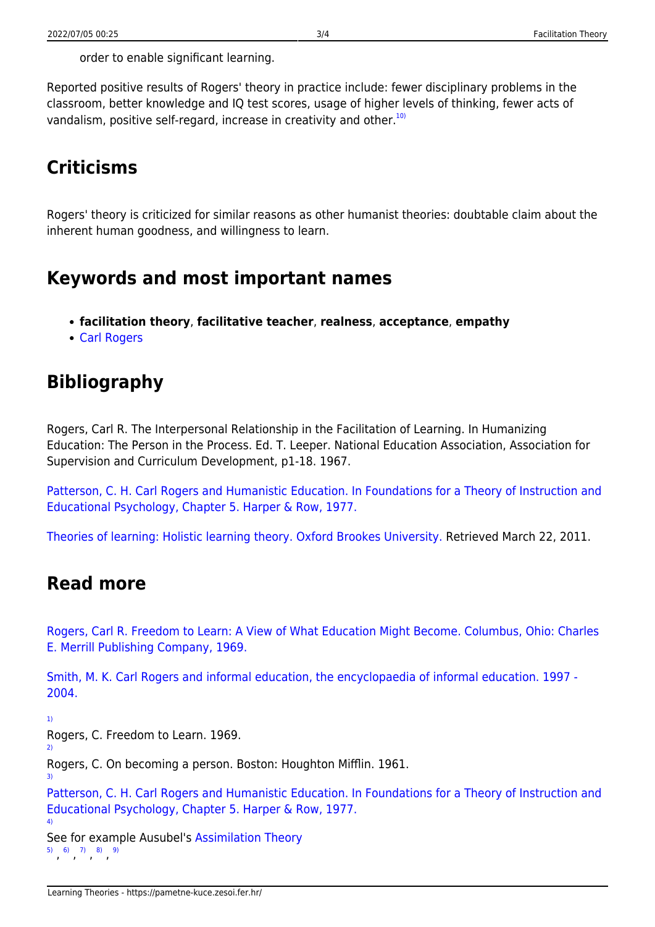Reported positive results of Rogers' theory in practice include: fewer disciplinary problems in the classroom, better knowledge and IQ test scores, usage of higher levels of thinking, fewer acts of vandalism, positive self-regard, increase in creativity and other.<sup>[10\)](#page--1-0)</sup>

# **Criticisms**

Rogers' theory is criticized for similar reasons as other humanist theories: doubtable claim about the inherent human goodness, and willingness to learn.

#### **Keywords and most important names**

- **facilitation theory**, **facilitative teacher**, **realness**, **acceptance**, **empathy**
- [Carl Rogers](http://www.nrogers.com/carlrogersbio.html)

### **Bibliography**

Rogers, Carl R. The Interpersonal Relationship in the Facilitation of Learning. In Humanizing Education: The Person in the Process. Ed. T. Leeper. National Education Association, Association for Supervision and Curriculum Development, p1-18. 1967.

[Patterson, C. H. Carl Rogers and Humanistic Education. In Foundations for a Theory of Instruction and](http://www.sageofasheville.com/pub_downloads/CARL_ROGERS_AND_HUMANISTIC_EDUCATION.pdf) [Educational Psychology, Chapter 5. Harper & Row, 1977.](http://www.sageofasheville.com/pub_downloads/CARL_ROGERS_AND_HUMANISTIC_EDUCATION.pdf)

[Theories of learning: Holistic learning theory. Oxford Brookes University.](http://www.brookes.ac.uk/services/ocsld/resources/theories.html#holistic) Retrieved March 22, 2011.

#### **Read more**

[Rogers, Carl R. Freedom to Learn: A View of What Education Might Become. Columbus, Ohio: Charles](http://www.amazon.com/Freedom-Learn-Education-Might-Become/dp/0675095794) [E. Merrill Publishing Company, 1969.](http://www.amazon.com/Freedom-Learn-Education-Might-Become/dp/0675095794)

[Smith, M. K. Carl Rogers and informal education, the encyclopaedia of informal education. 1997 -](http://www.infed.org/thinkers/et-rogers.htm) [2004.](http://www.infed.org/thinkers/et-rogers.htm)

[1\)](#page--1-0)

[2\)](#page--1-0)

[3\)](#page--1-0)

[4\)](#page--1-0)

Rogers, C. Freedom to Learn. 1969.

Rogers, C. On becoming a person. Boston: Houghton Mifflin. 1961.

[Patterson, C. H. Carl Rogers and Humanistic Education. In Foundations for a Theory of Instruction and](http://www.sageofasheville.com/pub_downloads/CARL_ROGERS_AND_HUMANISTIC_EDUCATION.pdf) [Educational Psychology, Chapter 5. Harper & Row, 1977.](http://www.sageofasheville.com/pub_downloads/CARL_ROGERS_AND_HUMANISTIC_EDUCATION.pdf)

See for example Ausubel's [Assimilation Theory](https://pametne-kuce.zesoi.fer.hr/doku.php?id=learning_theories:assimilation_theory) [5\)](#page--1-0) [6\)](#page--1-0) [7\)](#page--1-0) [8\)](#page--1-0) [9\)](#page--1-0)